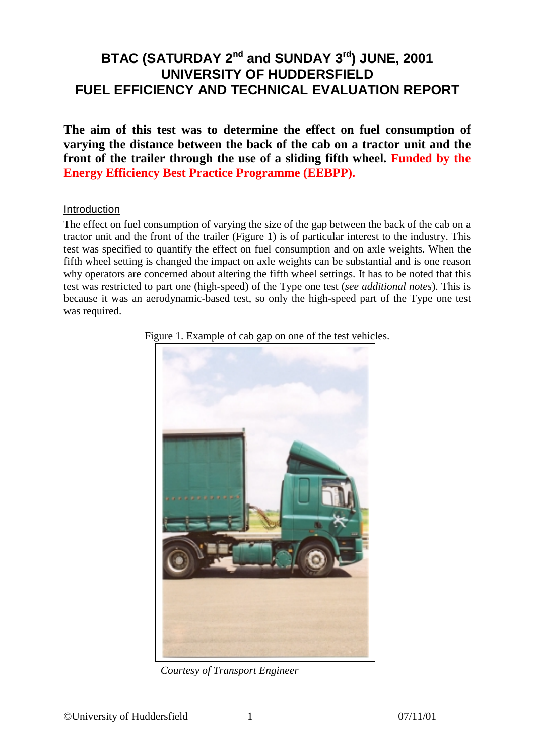# BTAC (SATURDAY 2<sup>nd</sup> and SUNDAY 3<sup>rd</sup>) JUNE, 2001 **UNIVERSITY OF HUDDERSFIELD FUEL EFFICIENCY AND TECHNICAL EVALUATION REPORT**

**The aim of this test was to determine the effect on fuel consumption of varying the distance between the back of the cab on a tractor unit and the front of the trailer through the use of a sliding fifth wheel. Funded by the Energy Efficiency Best Practice Programme (EEBPP).**

#### Introduction

The effect on fuel consumption of varying the size of the gap between the back of the cab on a tractor unit and the front of the trailer (Figure 1) is of particular interest to the industry. This test was specified to quantify the effect on fuel consumption and on axle weights. When the fifth wheel setting is changed the impact on axle weights can be substantial and is one reason why operators are concerned about altering the fifth wheel settings. It has to be noted that this test was restricted to part one (high-speed) of the Type one test (*see additional notes*). This is because it was an aerodynamic-based test, so only the high-speed part of the Type one test was required.



Figure 1. Example of cab gap on one of the test vehicles.

*Courtesy of Transport Engineer*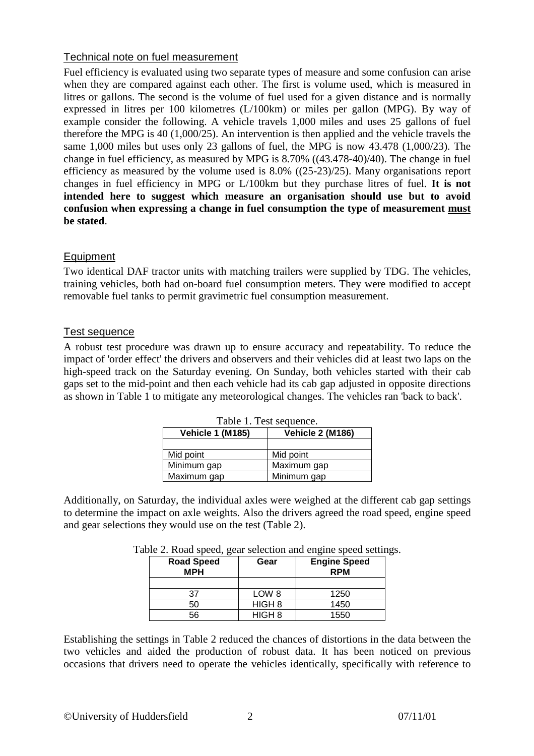# Technical note on fuel measurement

Fuel efficiency is evaluated using two separate types of measure and some confusion can arise when they are compared against each other. The first is volume used, which is measured in litres or gallons. The second is the volume of fuel used for a given distance and is normally expressed in litres per 100 kilometres (L/100km) or miles per gallon (MPG). By way of example consider the following. A vehicle travels 1,000 miles and uses 25 gallons of fuel therefore the MPG is 40 (1,000/25). An intervention is then applied and the vehicle travels the same 1,000 miles but uses only 23 gallons of fuel, the MPG is now 43.478 (1,000/23). The change in fuel efficiency, as measured by MPG is 8.70% ((43.478-40)/40). The change in fuel efficiency as measured by the volume used is 8.0% ((25-23)/25). Many organisations report changes in fuel efficiency in MPG or L/100km but they purchase litres of fuel. **It is not intended here to suggest which measure an organisation should use but to avoid confusion when expressing a change in fuel consumption the type of measurement must be stated**.

# **Equipment**

Two identical DAF tractor units with matching trailers were supplied by TDG. The vehicles, training vehicles, both had on-board fuel consumption meters. They were modified to accept removable fuel tanks to permit gravimetric fuel consumption measurement.

# Test sequence

A robust test procedure was drawn up to ensure accuracy and repeatability. To reduce the impact of 'order effect' the drivers and observers and their vehicles did at least two laps on the high-speed track on the Saturday evening. On Sunday, both vehicles started with their cab gaps set to the mid-point and then each vehicle had its cab gap adjusted in opposite directions as shown in Table 1 to mitigate any meteorological changes. The vehicles ran 'back to back'.

| Taon T. Test scuuchee.  |                         |  |
|-------------------------|-------------------------|--|
| <b>Vehicle 1 (M185)</b> | <b>Vehicle 2 (M186)</b> |  |
|                         |                         |  |
| Mid point               | Mid point               |  |
| Minimum gap             | Maximum gap             |  |
| Maximum gap             | Minimum gap             |  |

Table 1. Test sequence.

Additionally, on Saturday, the individual axles were weighed at the different cab gap settings to determine the impact on axle weights. Also the drivers agreed the road speed, engine speed and gear selections they would use on the test (Table 2).

| <b>Road Speed</b><br><b>MPH</b> | Gear              | <b>Engine Speed</b><br><b>RPM</b> |
|---------------------------------|-------------------|-----------------------------------|
|                                 |                   |                                   |
| 37                              | LOW <sub>8</sub>  | 1250                              |
| 50                              | HIGH <sub>8</sub> | 1450                              |
| 56                              | HIGH <sub>8</sub> | 1550                              |

|  | Table 2. Road speed, gear selection and engine speed settings. |
|--|----------------------------------------------------------------|
|  |                                                                |

Establishing the settings in Table 2 reduced the chances of distortions in the data between the two vehicles and aided the production of robust data. It has been noticed on previous occasions that drivers need to operate the vehicles identically, specifically with reference to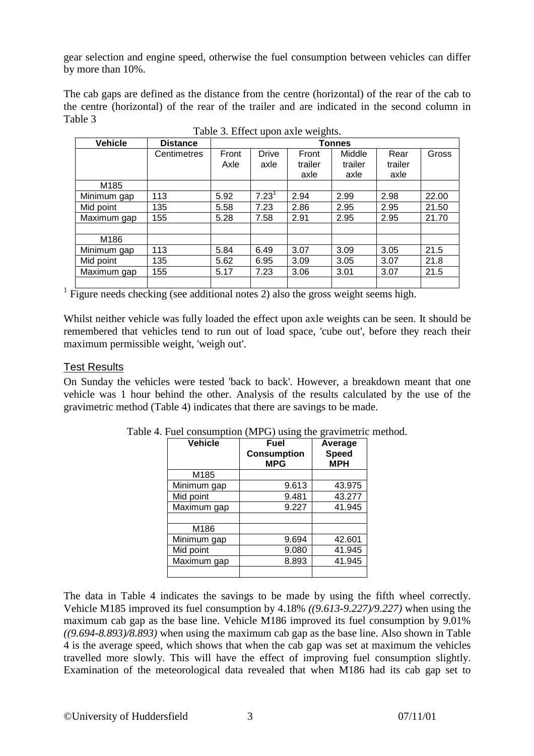gear selection and engine speed, otherwise the fuel consumption between vehicles can differ by more than 10%.

The cab gaps are defined as the distance from the centre (horizontal) of the rear of the cab to the centre (horizontal) of the rear of the trailer and are indicated in the second column in Table 3

| <b>Vehicle</b> | <b>Distance</b> | <b>Tonnes</b> |                      |                  |                   |                 |       |
|----------------|-----------------|---------------|----------------------|------------------|-------------------|-----------------|-------|
|                | Centimetres     | Front<br>Axle | <b>Drive</b><br>axle | Front<br>trailer | Middle<br>trailer | Rear<br>trailer | Gross |
|                |                 |               |                      | axle             | axle              | axle            |       |
| M185           |                 |               |                      |                  |                   |                 |       |
| Minimum gap    | 113             | 5.92          | 7.23 <sup>1</sup>    | 2.94             | 2.99              | 2.98            | 22.00 |
| Mid point      | 135             | 5.58          | 7.23                 | 2.86             | 2.95              | 2.95            | 21.50 |
| Maximum gap    | 155             | 5.28          | 7.58                 | 2.91             | 2.95              | 2.95            | 21.70 |
|                |                 |               |                      |                  |                   |                 |       |
| M186           |                 |               |                      |                  |                   |                 |       |
| Minimum gap    | 113             | 5.84          | 6.49                 | 3.07             | 3.09              | 3.05            | 21.5  |
| Mid point      | 135             | 5.62          | 6.95                 | 3.09             | 3.05              | 3.07            | 21.8  |
| Maximum gap    | 155             | 5.17          | 7.23                 | 3.06             | 3.01              | 3.07            | 21.5  |
|                |                 |               |                      |                  |                   |                 |       |

|  |  |  | Table 3. Effect upon axle weights. |
|--|--|--|------------------------------------|
|--|--|--|------------------------------------|

<sup>1</sup> Figure needs checking (see additional notes 2) also the gross weight seems high.

Whilst neither vehicle was fully loaded the effect upon axle weights can be seen. It should be remembered that vehicles tend to run out of load space, 'cube out', before they reach their maximum permissible weight, 'weigh out'.

## **Test Results**

On Sunday the vehicles were tested 'back to back'. However, a breakdown meant that one vehicle was 1 hour behind the other. Analysis of the results calculated by the use of the gravimetric method (Table 4) indicates that there are savings to be made.

| <b>Vehicle</b> | Fuel<br><b>Consumption</b><br><b>MPG</b> | Average<br><b>Speed</b><br><b>MPH</b> |
|----------------|------------------------------------------|---------------------------------------|
| M185           |                                          |                                       |
| Minimum gap    | 9.613                                    | 43.975                                |
| Mid point      | 9.481                                    | 43.277                                |
| Maximum gap    | 9.227                                    | 41.945                                |
|                |                                          |                                       |
| M186           |                                          |                                       |
| Minimum gap    | 9.694                                    | 42.601                                |
| Mid point      | 9.080                                    | 41.945                                |
| Maximum gap    | 8.893                                    | 41.945                                |
|                |                                          |                                       |

Table 4. Fuel consumption (MPG) using the gravimetric method.

The data in Table 4 indicates the savings to be made by using the fifth wheel correctly. Vehicle M185 improved its fuel consumption by 4.18% *((9.613-9.227)/9.227)* when using the maximum cab gap as the base line. Vehicle M186 improved its fuel consumption by 9.01% *((9.694-8.893)/8.893)* when using the maximum cab gap as the base line. Also shown in Table 4 is the average speed, which shows that when the cab gap was set at maximum the vehicles travelled more slowly. This will have the effect of improving fuel consumption slightly. Examination of the meteorological data revealed that when M186 had its cab gap set to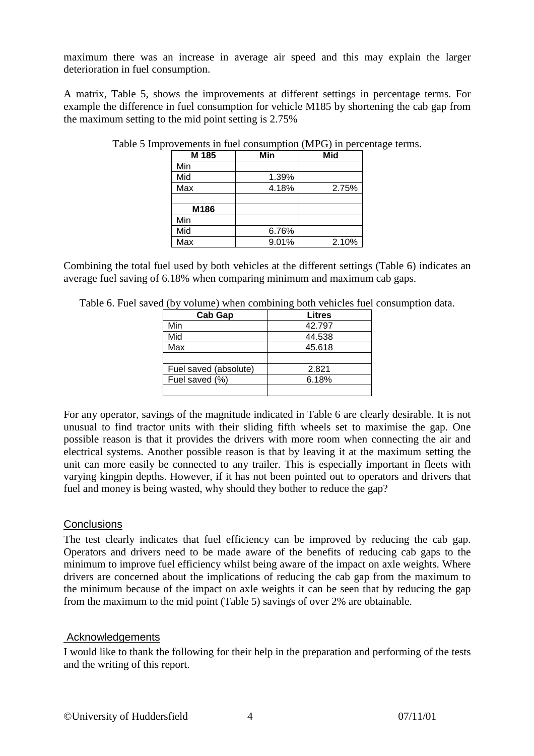maximum there was an increase in average air speed and this may explain the larger deterioration in fuel consumption.

A matrix, Table 5, shows the improvements at different settings in percentage terms. For example the difference in fuel consumption for vehicle M185 by shortening the cab gap from the maximum setting to the mid point setting is 2.75%

| M 185 | Min   | <b>Mid</b> |
|-------|-------|------------|
| Min   |       |            |
| Mid   | 1.39% |            |
| Max   | 4.18% | 2.75%      |
|       |       |            |
| M186  |       |            |
| Min   |       |            |
| Mid   | 6.76% |            |
| Max   | 9.01% | 2.10%      |

Table 5 Improvements in fuel consumption (MPG) in percentage terms.

Combining the total fuel used by both vehicles at the different settings (Table 6) indicates an average fuel saving of 6.18% when comparing minimum and maximum cab gaps.

| Table 6. Fuel saved (by volume) when combining both vehicles fuel consumption data. |  |  |  |
|-------------------------------------------------------------------------------------|--|--|--|
|                                                                                     |  |  |  |

| Cab Gap               | Litres |
|-----------------------|--------|
| Min                   | 42.797 |
| Mid                   | 44.538 |
| Max                   | 45.618 |
|                       |        |
| Fuel saved (absolute) | 2.821  |
| Fuel saved (%)        | 6.18%  |
|                       |        |

For any operator, savings of the magnitude indicated in Table 6 are clearly desirable. It is not unusual to find tractor units with their sliding fifth wheels set to maximise the gap. One possible reason is that it provides the drivers with more room when connecting the air and electrical systems. Another possible reason is that by leaving it at the maximum setting the unit can more easily be connected to any trailer. This is especially important in fleets with varying kingpin depths. However, if it has not been pointed out to operators and drivers that fuel and money is being wasted, why should they bother to reduce the gap?

## **Conclusions**

The test clearly indicates that fuel efficiency can be improved by reducing the cab gap. Operators and drivers need to be made aware of the benefits of reducing cab gaps to the minimum to improve fuel efficiency whilst being aware of the impact on axle weights. Where drivers are concerned about the implications of reducing the cab gap from the maximum to the minimum because of the impact on axle weights it can be seen that by reducing the gap from the maximum to the mid point (Table 5) savings of over 2% are obtainable.

## Acknowledgements

I would like to thank the following for their help in the preparation and performing of the tests and the writing of this report.